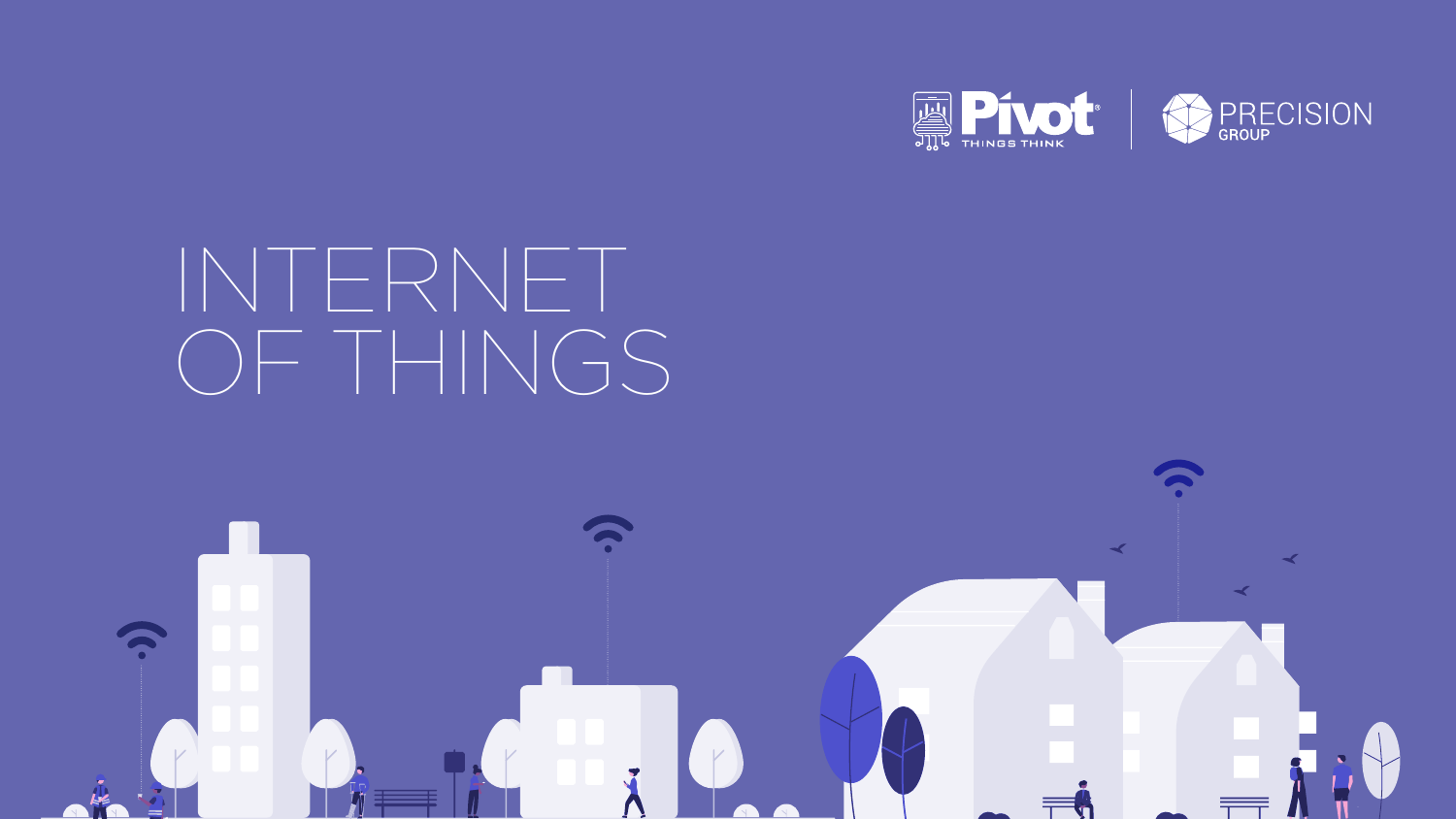# INTERNET OF THINGS









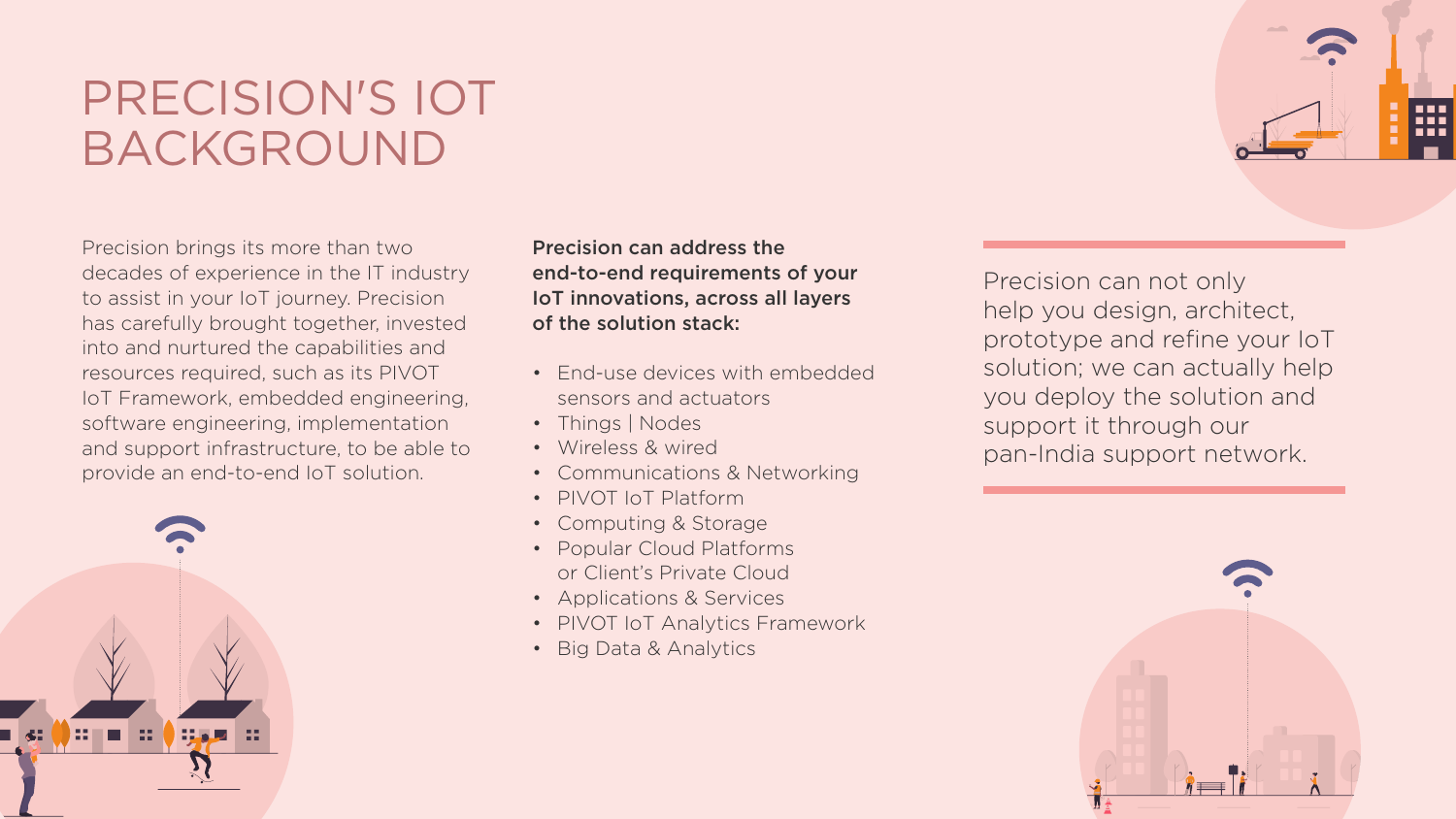## PRECISION'S IOT BACKGROUND

Precision brings its more than two decades of experience in the IT industry to assist in your IoT journey. Precision has carefully brought together, invested into and nurtured the capabilities and resources required, such as its PIVOT IoT Framework, embedded engineering, software engineering, implementation and support infrastructure, to be able to provide an end-to-end IoT solution.



Precision can address the of the solution stack:

## end-to-end requirements of your IoT innovations, across all layers

- End-use devices with embedded sensors and actuators
- Things | Nodes
- Wireless & wired
- Communications & Networking
- PIVOT IoT Platform
- Computing & Storage
- Popular Cloud Platforms or Client's Private Cloud
- Applications & Services
- PIVOT IoT Analytics Framework
- Big Data & Analytics



Precision can not only help you design, architect, prototype and refine your IoT solution; we can actually help you deploy the solution and support it through our pan-India support network.



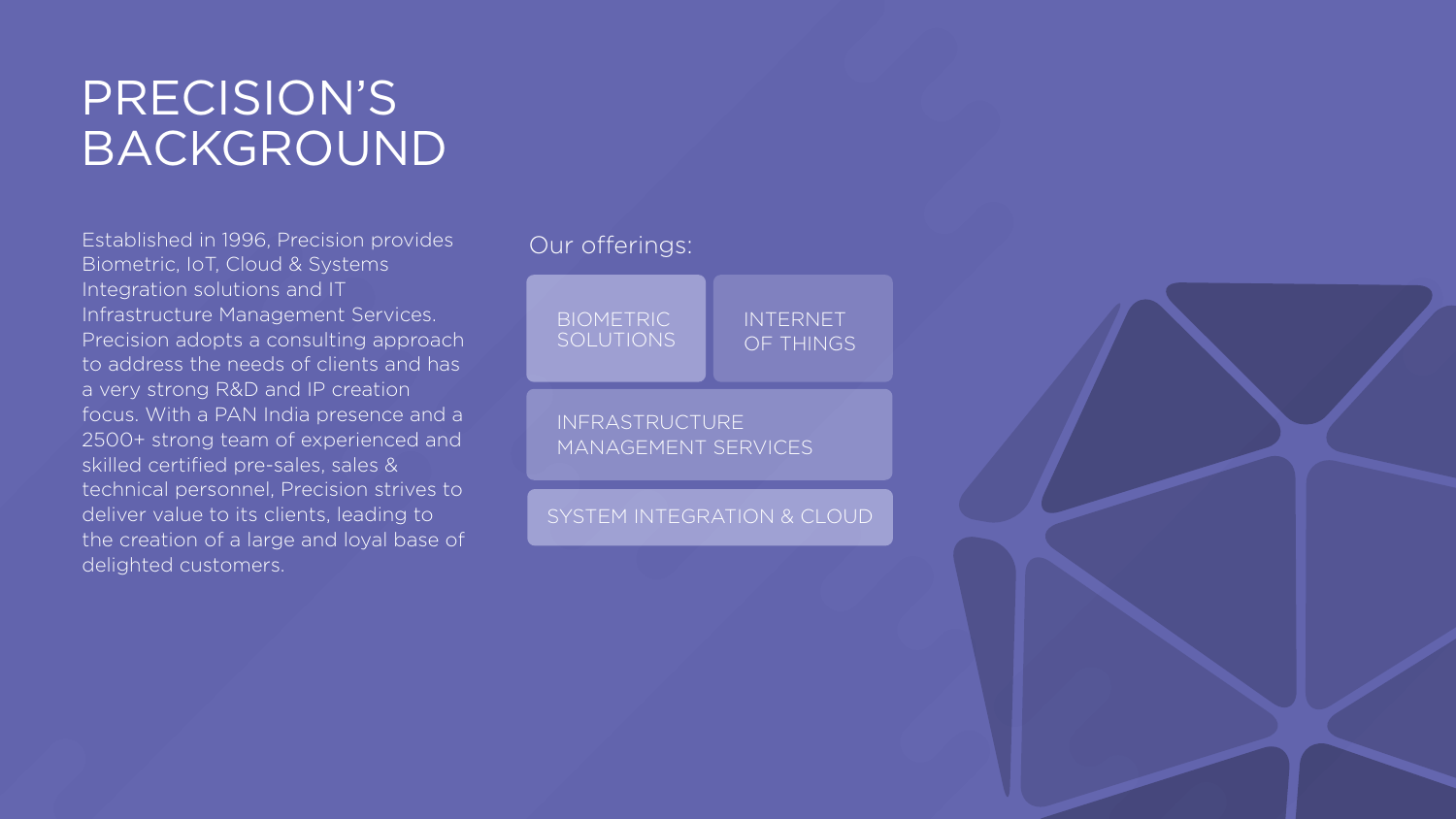## PRECISION'S BACKGROUND

### **BIOMETRIC** SOLUTIONS

Established in 1996, Precision provides Biometric, IoT, Cloud & Systems Integration solutions and IT Infrastructure Management Services. Precision adopts a consulting approach to address the needs of clients and has a very strong R&D and IP creation focus. With a PAN India presence and a 2500+ strong team of experienced and skilled certified pre-sales, sales & technical personnel, Precision strives to deliver value to its clients, leading to the creation of a large and loyal base of delighted customers.

## Our offerings:

## INTERNET OF THINGS

INFRASTRUCTURE

## MANAGEMENT SERVICES

### SYSTEM INTEGRATION & CLOUD

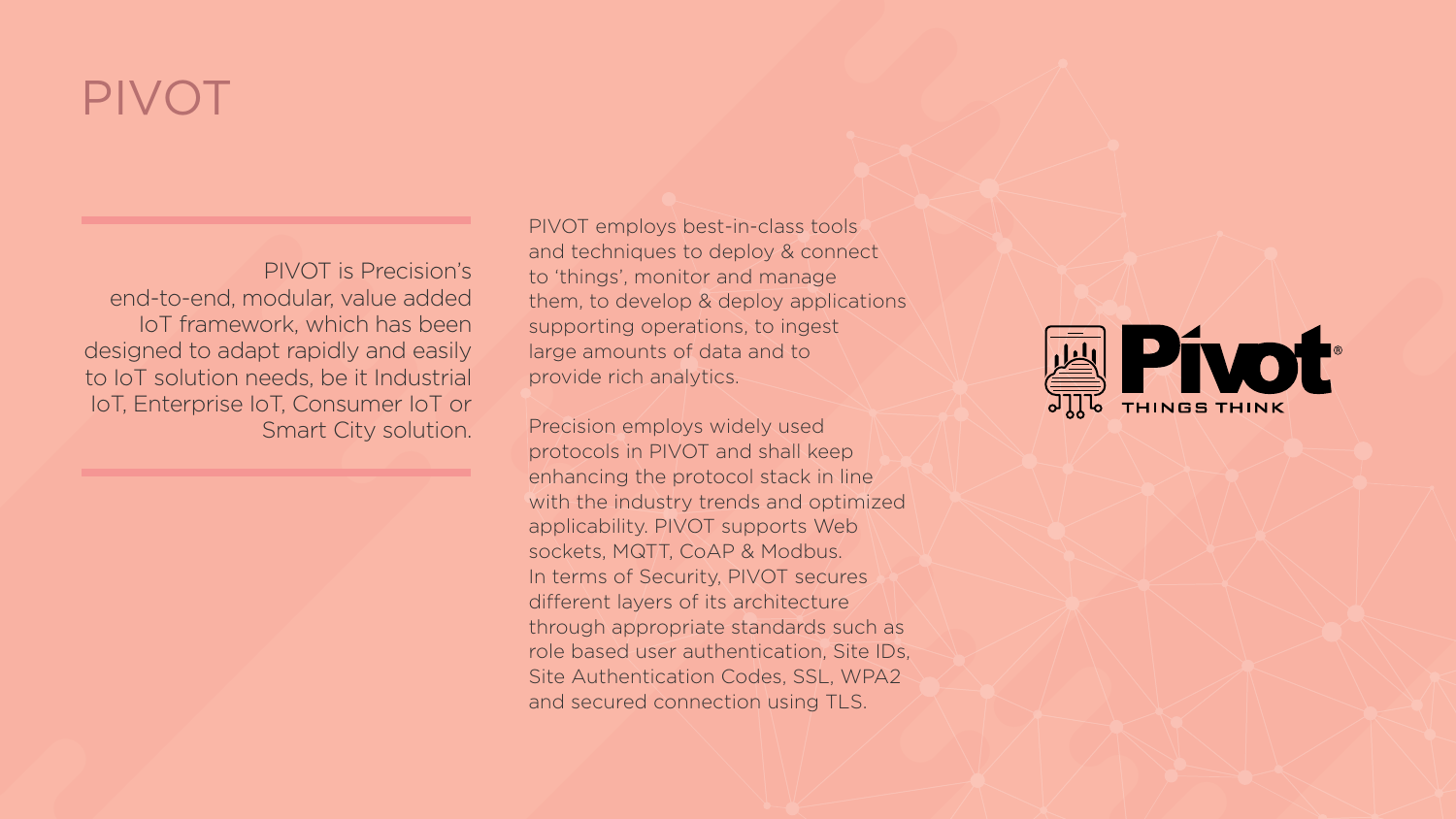## PIVOT

PIVOT is Precision's end-to-end, modular, value added IoT framework, which has been designed to adapt rapidly and easily to IoT solution needs, be it Industrial IoT, Enterprise IoT, Consumer IoT or Smart City solution. PIVOT employs best-in-class tools and techniques to deploy & connect to 'things', monitor and manage them, to develop & deploy applications supporting operations, to ingest large amounts of data and to provide rich analytics.

Precision employs widely used protocols in PIVOT and shall keep enhancing the protocol stack in line with the industry trends and optimized applicability. PIVOT supports Web sockets, MQTT, CoAP & Modbus. In terms of Security, PIVOT secures different layers of its architecture through appropriate standards such as role based user authentication, Site IDs, Site Authentication Codes, SSL, WPA2 and secured connection using TLS.



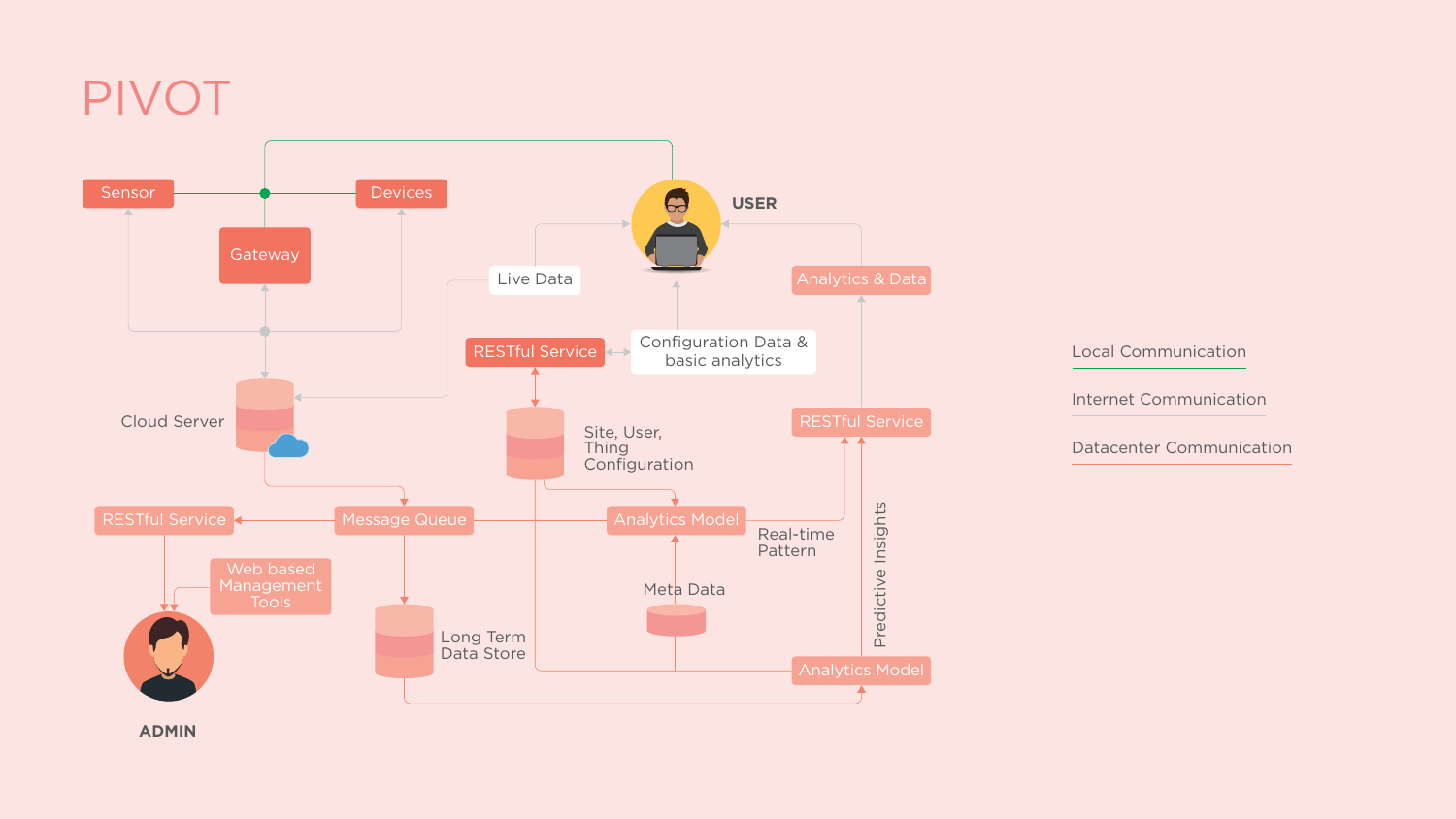## PIVOT

Local Communication



Internet Communication

Datacenter Communication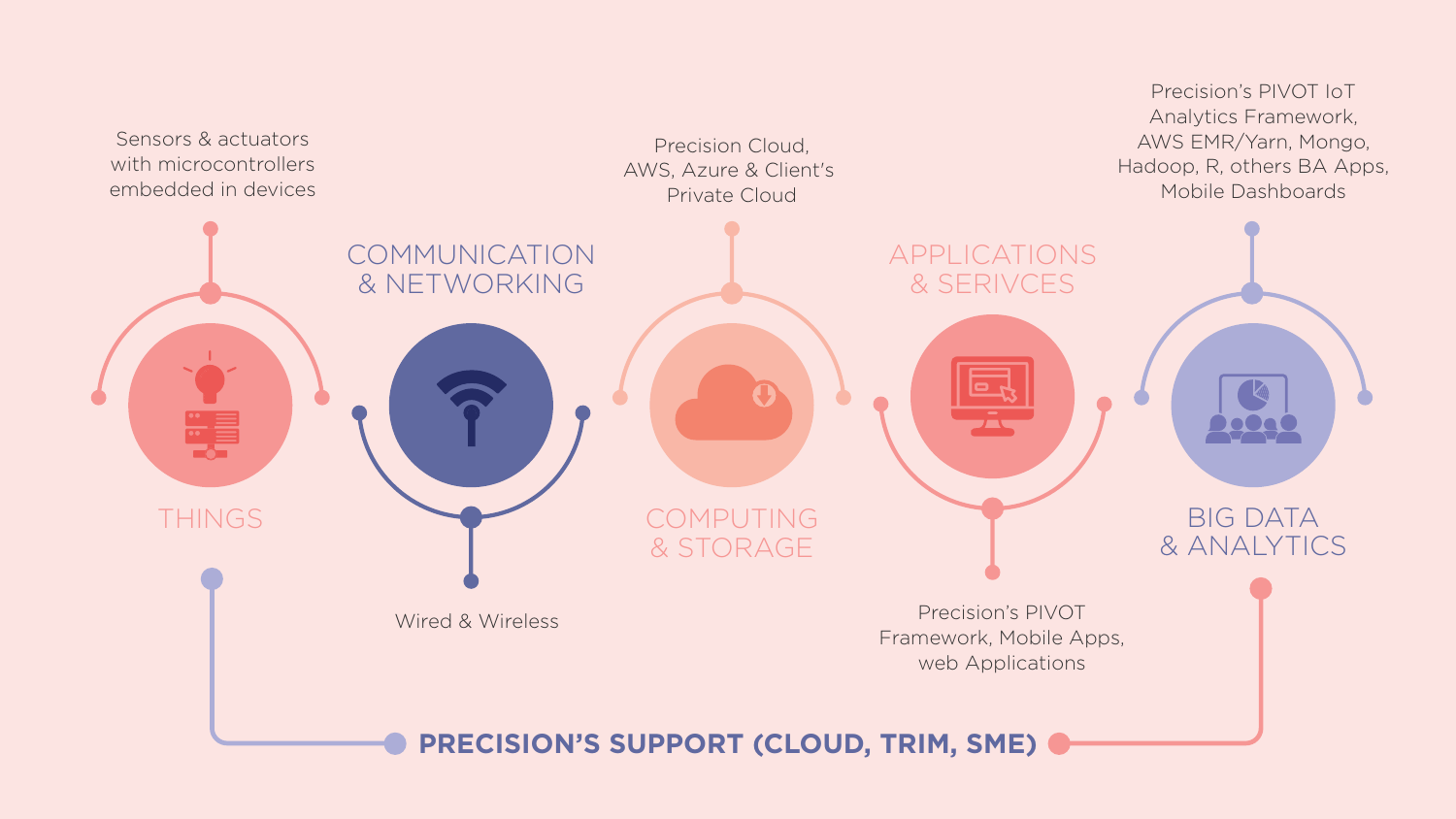Precision's PIVOT IoT Analytics Framework, AWS EMR/Yarn, Mongo, Hadoop, R, others BA Apps, Mobile Dashboards

> BIG DATA & ANALYTICS

COMPUTING & STORAGE

> Precision's PIVOT Framework, Mobile Apps, web Applications

## **PRECISION'S SUPPORT (CLOUD, TRIM, SME) &**



Precision Cloud, AWS, Azure & Client's Private Cloud

Wired & Wireless

COMMUNICATION & NETWORKING



Sensors & actuators with microcontrollers embedded in devices

APPLICATIONS

& SERIVCES

700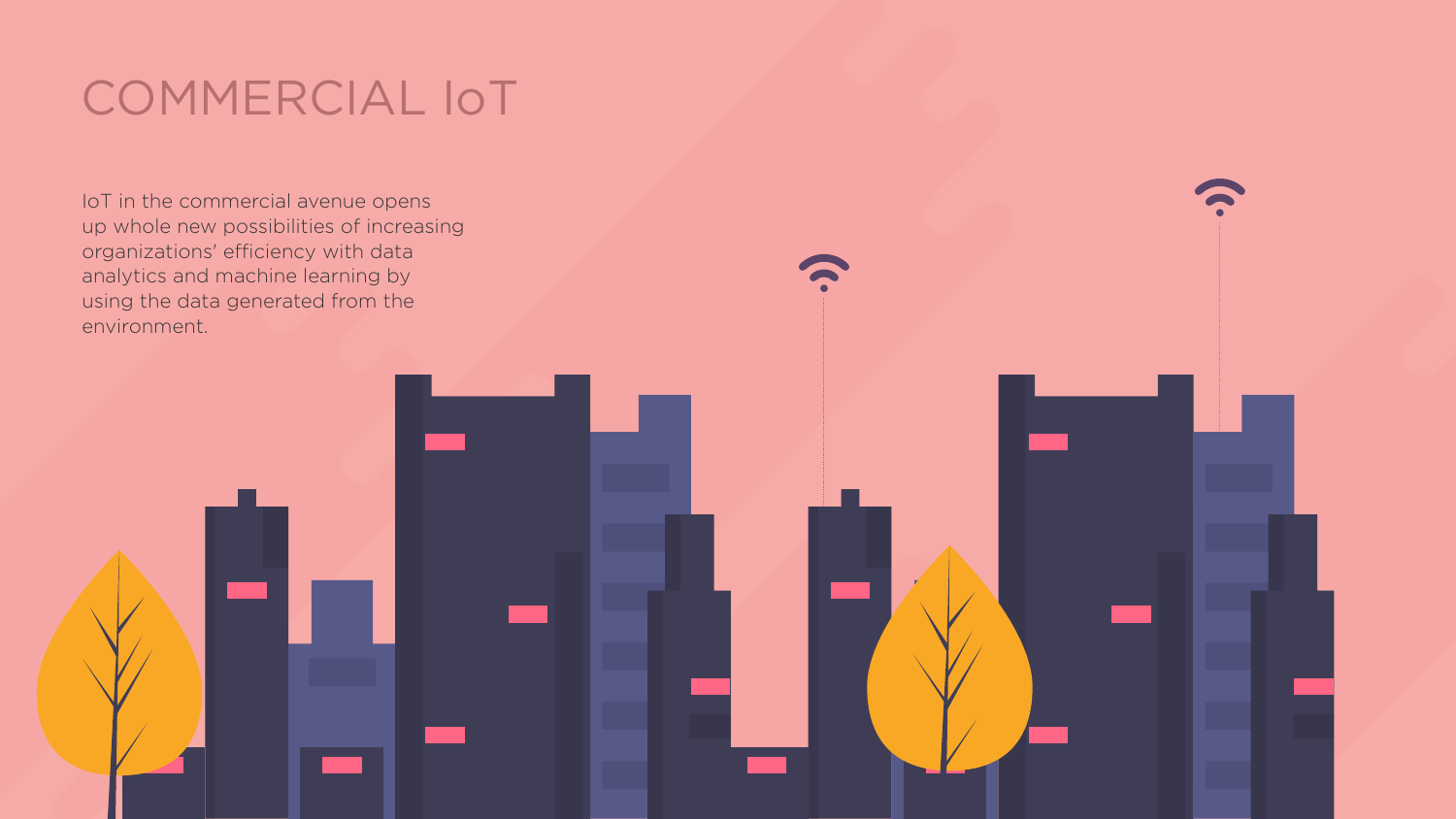## COMMERCIAL IoT

IoT in the commercial avenue opens up whole new possibilities of increasing organizations' efficiency with data analytics and machine learning by using the data generated from the environment.



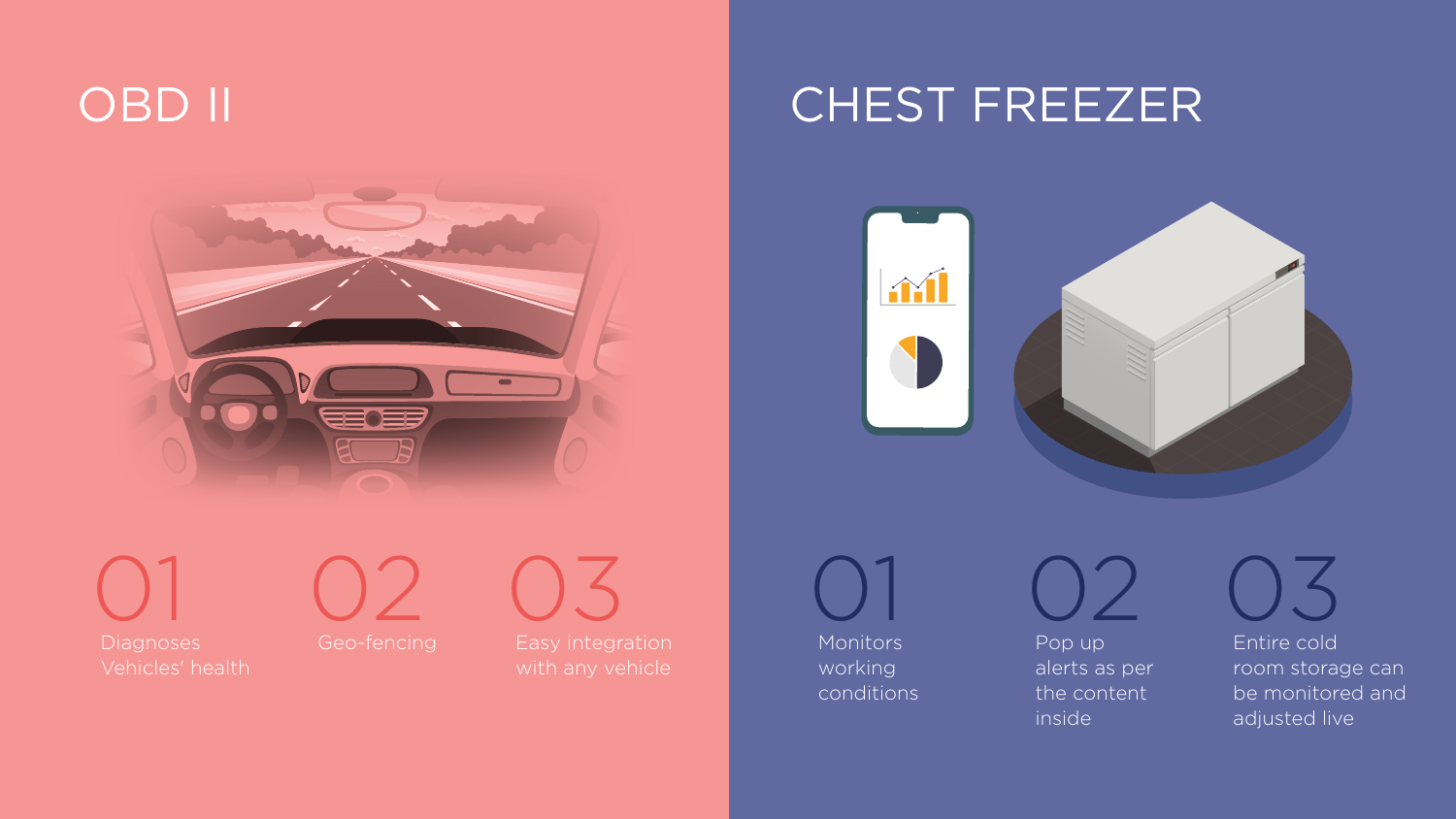



Diagnoses Vehicles' health



Geo-fencing Easy integration with any vehicle 03

## OBD II CHEST FREEZER





Entire cold room storage can be monitored and adjusted live 03



Monitors working conditions 01

Pop up alerts as per the content inside

02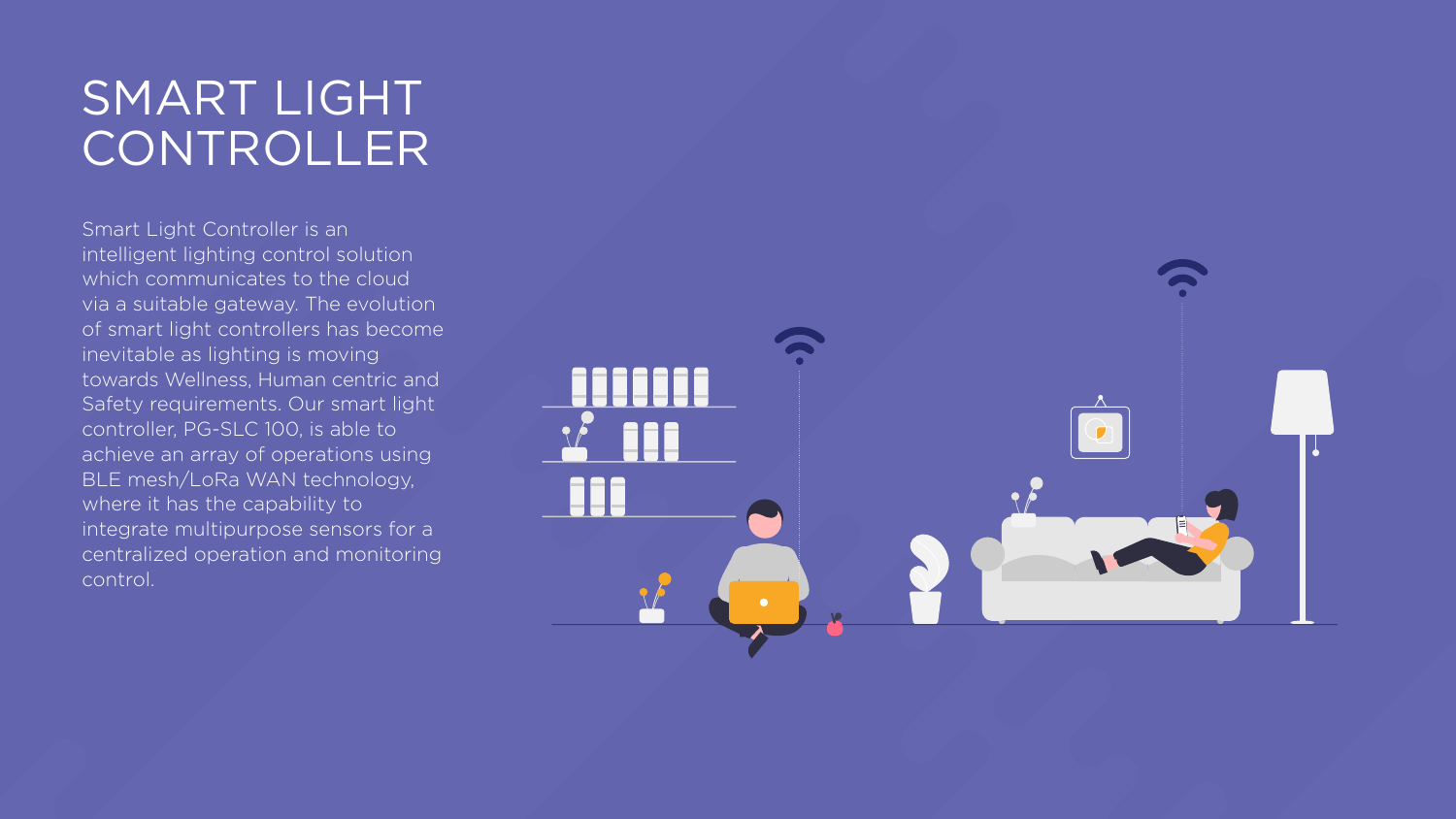## SMART LIGHT CONTROLLER

Smart Light Controller is an intelligent lighting control solution which communicates to the cloud via a suitable gateway. The evolution of smart light controllers has become inevitable as lighting is moving towards Wellness, Human centric and Safety requirements. Our smart light controller, PG-SLC 100, is able to achieve an array of operations using BLE mesh/LoRa WAN technology, where it has the capability to integrate multipurpose sensors for a centralized operation and monitoring control.



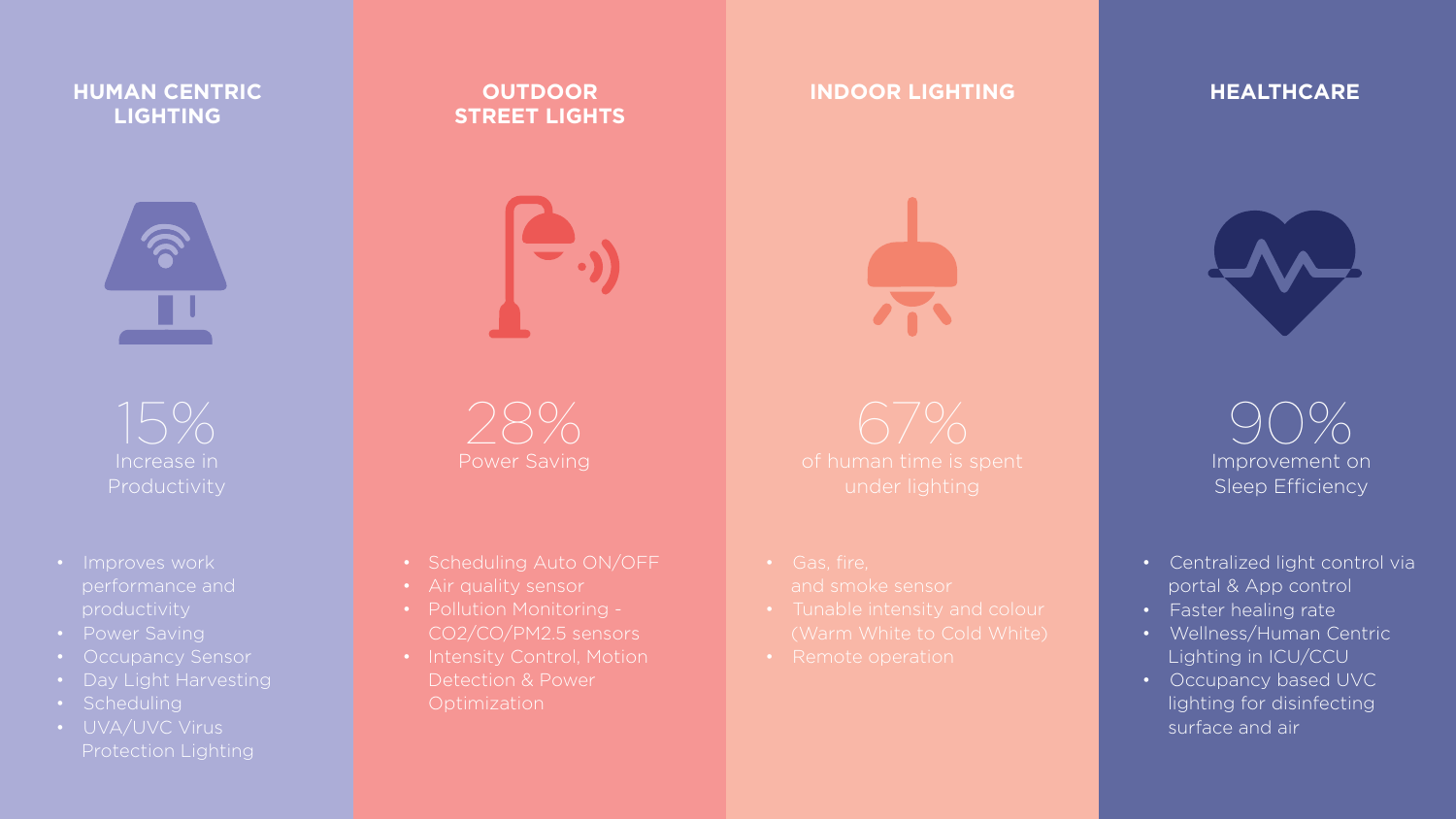### **HUMAN CENTRIC LIGHTING**



- Scheduling Auto ON/OFF
- Air quality sensor
- Pollution Monitoring CO2/CO/PM2.5 sensors
- Intensity Control, Motion Detection & Power **Optimization**

### **INDOOR LIGHTING HEALTHCARE**



### **OUTDOOR STREET LIGHTS**



- Improves work performance and productivity
- Power Saving
- Occupancy Sensor
- Day Light Harvesting
- Scheduling
- **•** UVA/UVC Virus Protection Lighting

15% Increase in **Productivity** 

90% Improvement on Sleep Efficiency

- Centralized light control via portal & App control
- Faster healing rate
- Wellness/Human Centric Lighting in ICU/CCU
- **•** Occupancy based UVC lighting for disinfecting surface and air

28% Power Saving

67% under lighting

- 
- 
- 

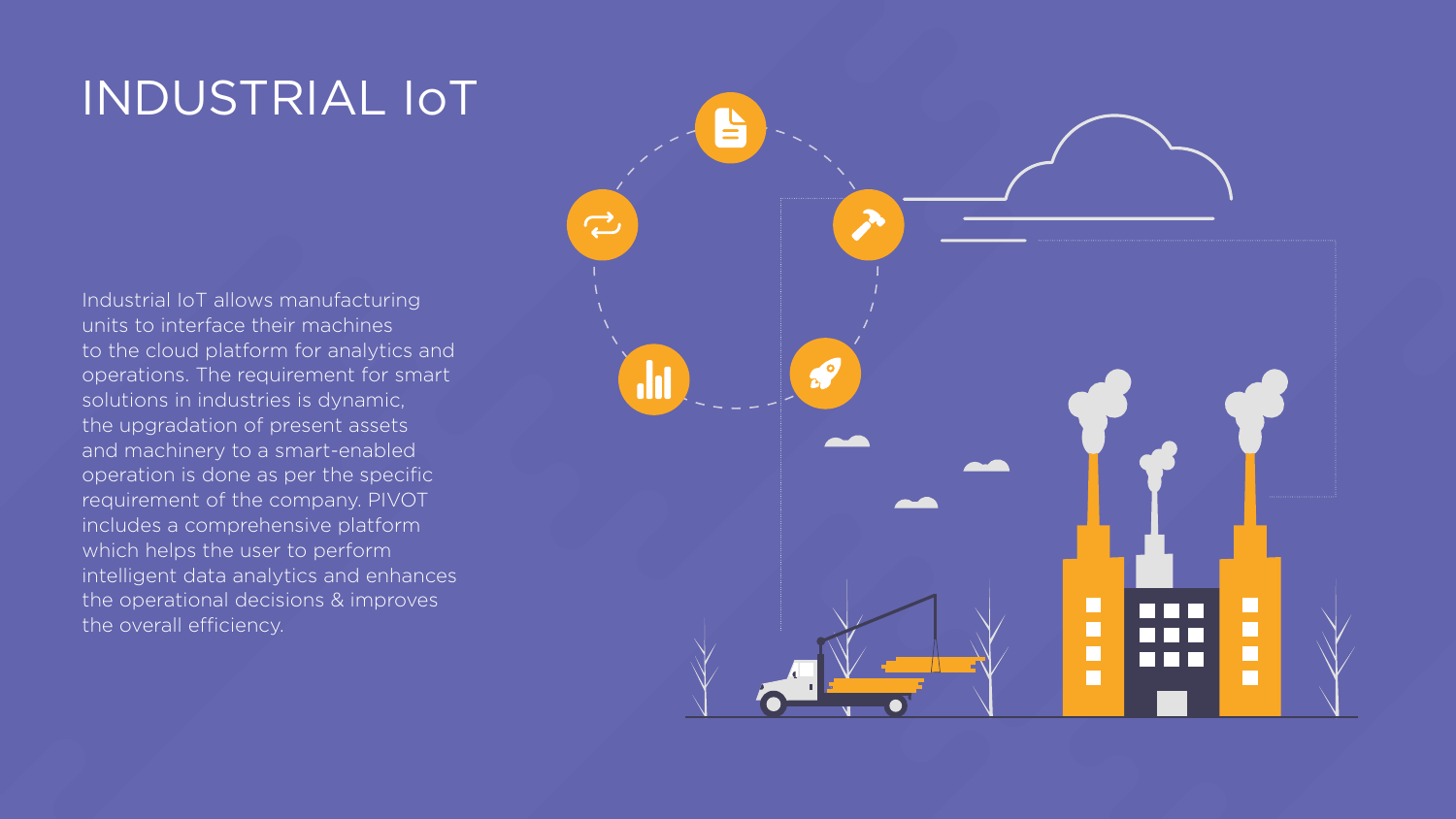## INDUSTRIAL IoT

Industrial IoT allows manufacturing units to interface their machines to the cloud platform for analytics and operations. The requirement for smart solutions in industries is dynamic, the upgradation of present assets and machinery to a smart-enabled operation is done as per the specific requirement of the company. PIVOT includes a comprehensive platform which helps the user to perform intelligent data analytics and enhances the operational decisions & improves the overall efficiency.



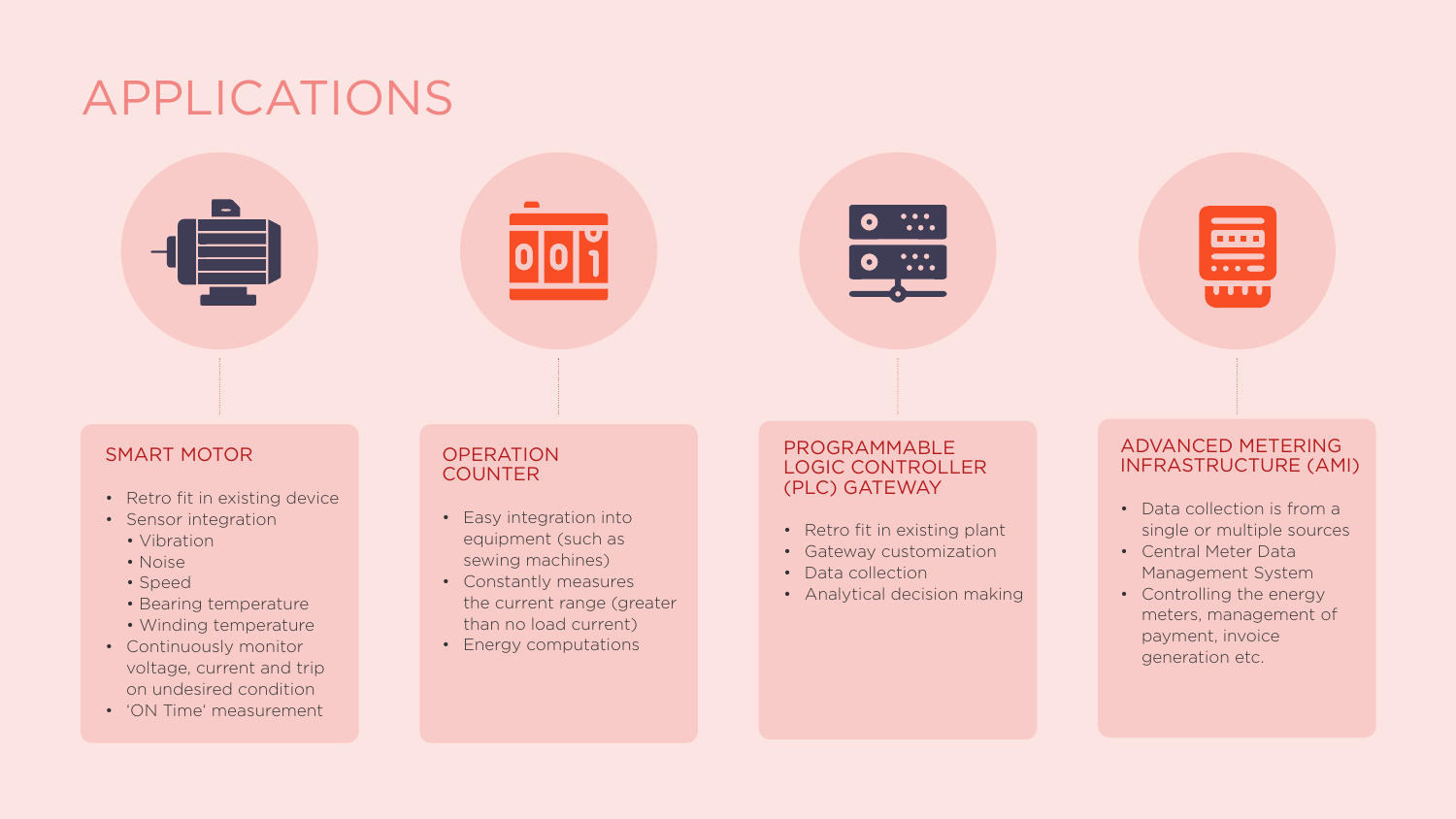## APPLICATIONS



### SMART MOTOR

- Retro fit in existing device
- Sensor integration
	- Vibration
	- Noise
	- Speed
	- Bearing temperature
	- Winding temperature
- Continuously monitor voltage, current and trip on undesired condition
- 'ON Time' measurement

### **OPERATION COUNTER**

- Retro fit in existing plant
- Gateway customization
- Data collection
- Analytical decision making
- Easy integration into equipment (such as sewing machines)
- Constantly measures the current range (greater than no load current)
- Energy computations



### PROGRAMMABLE LOGIC CONTROLLER (PLC) GATEWAY

### ADVANCED METERING INFRASTRUCTURE (AMI)

**....** 

 $\bullet\bullet\bullet\bullet\bullet$ 

 $\overline{\phantom{a}}$ 

- Data collection is from a single or multiple sources
- Central Meter Data Management System
- Controlling the energy meters, management of payment, invoice generation etc.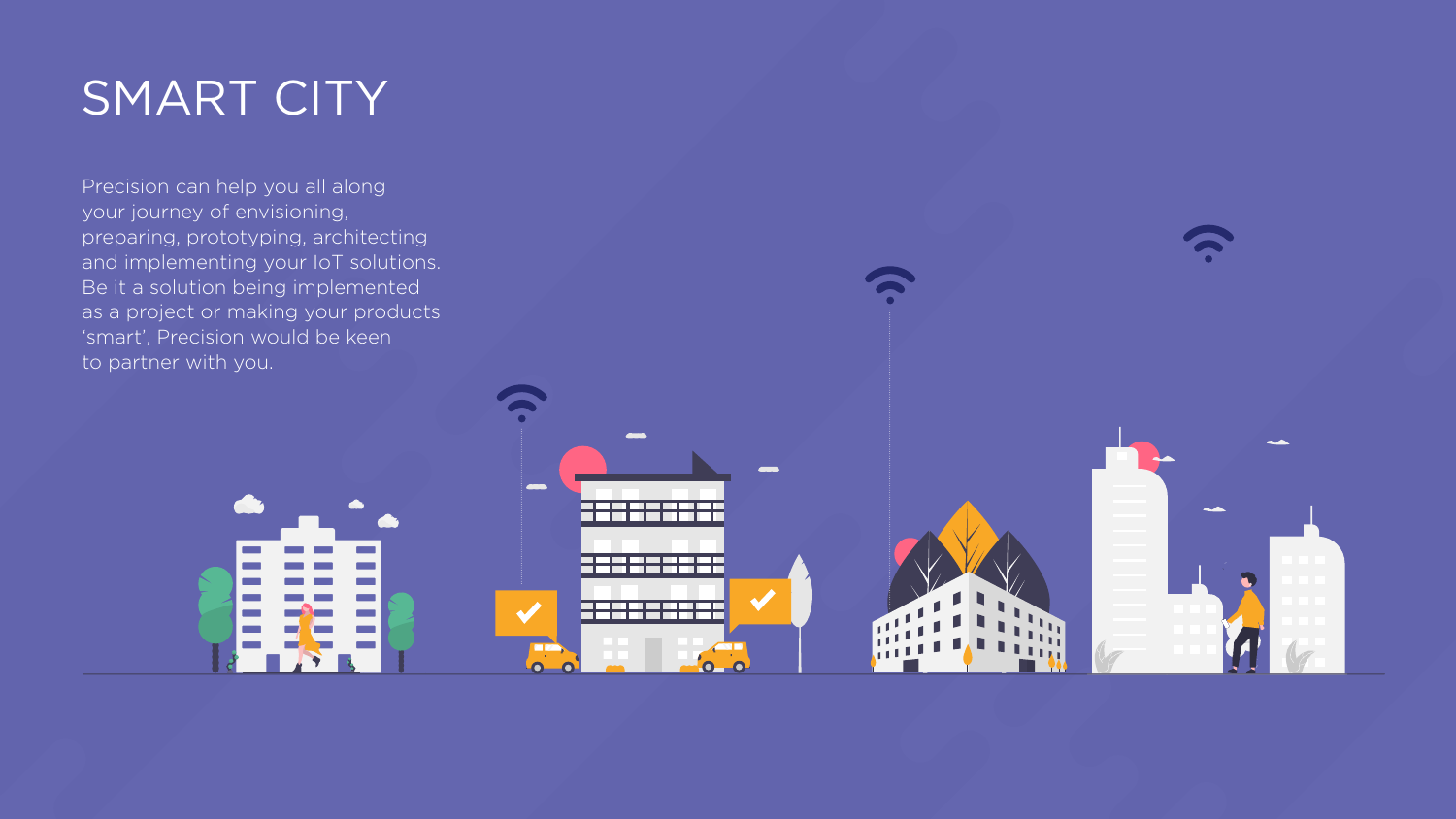## SMART CITY

Precision can help you all along your journey of envisioning, preparing, prototyping, architecting and implementing your IoT solutions. Be it a solution being implemented as a project or making your products 'smart', Precision would be keen to partner with you.



**COD** 

400

 $\overline{\bullet}$ 

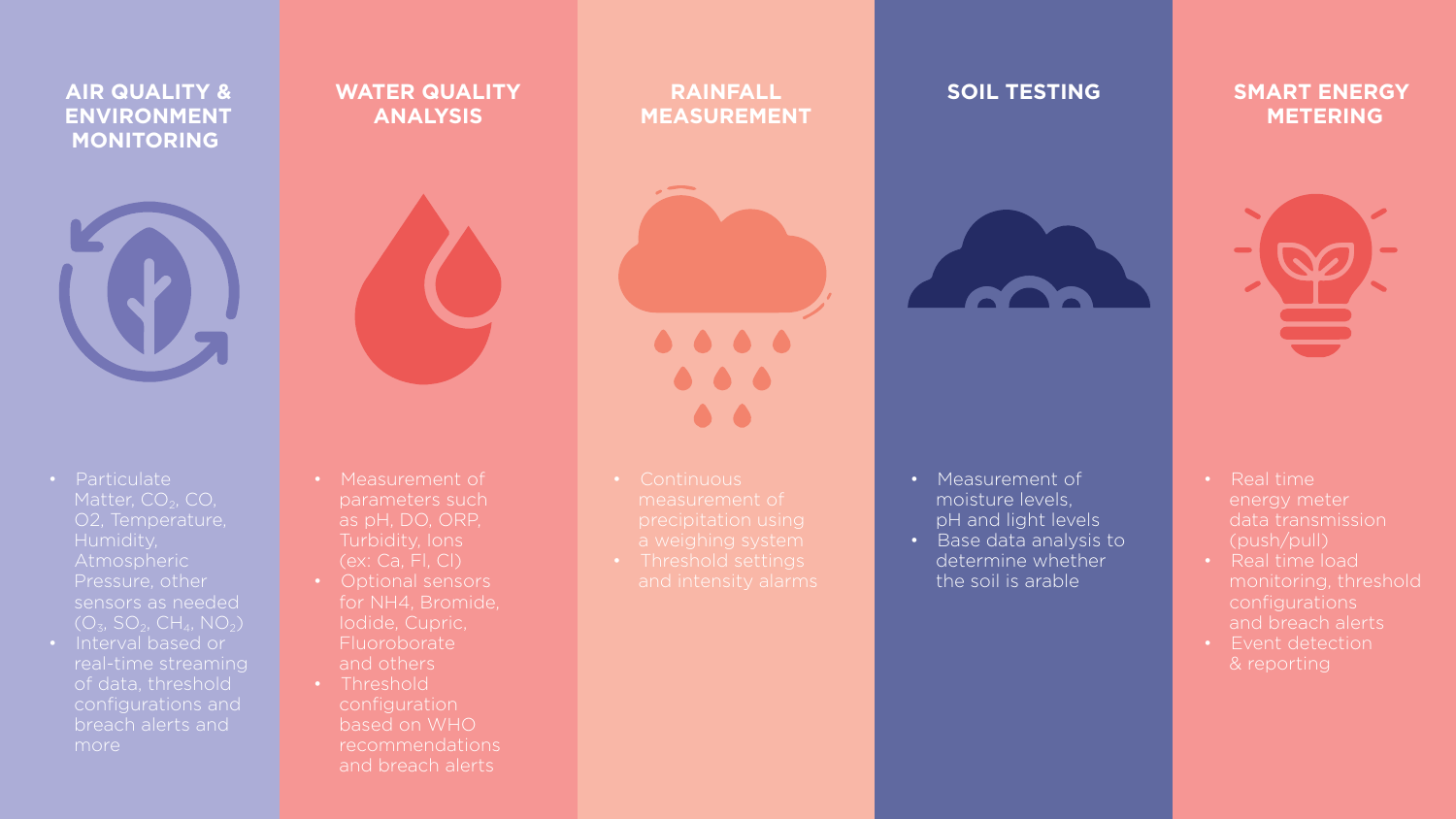### **CONSUMER AIR QUALITY & ENVIRONMENT MONITORING**



### **WATER QUALITY ANALYSIS**



## **RAINFALL MEASUREMENT**



- 
- 
- 

 $\begin{array}{ccccccccccccccccc} \bullet & \bullet & \bullet & \bullet & \bullet & \bullet \end{array}$  $\begin{array}{ccc} \bullet & \bullet & \bullet \end{array}$  $\bullet$   $\bullet$ 

### **SMART ENERGY METERING**



### **SOIL TESTING**



- Particulate Matter,  $CO<sub>2</sub>$ ,  $CO<sub>2</sub>$ , O2, Temperature, Humidity, Atmospheric Pressure, other sensors as needed  $(O_3, SO_2, CH_4, NO_2)$
- Interval based or real-time streaming of data, threshold configurations and breach alerts and more

• Measurement of moisture levels, pH and light levels

- Measurement of parameters such as pH, DO, ORP, Turbidity, Ions (ex: Ca, Fl, Cl)
- Optional sensors for NH4, Bromide, Iodide, Cupric, Fluoroborate and others
- Threshold configuration based on WHO recommendations and breach alerts
- Real time load monitoring, threshold configurations and breach alerts
- Event detection & reporting





• Base data analysis to determine whether the soil is arable

• Real time energy meter data transmission (push/pull)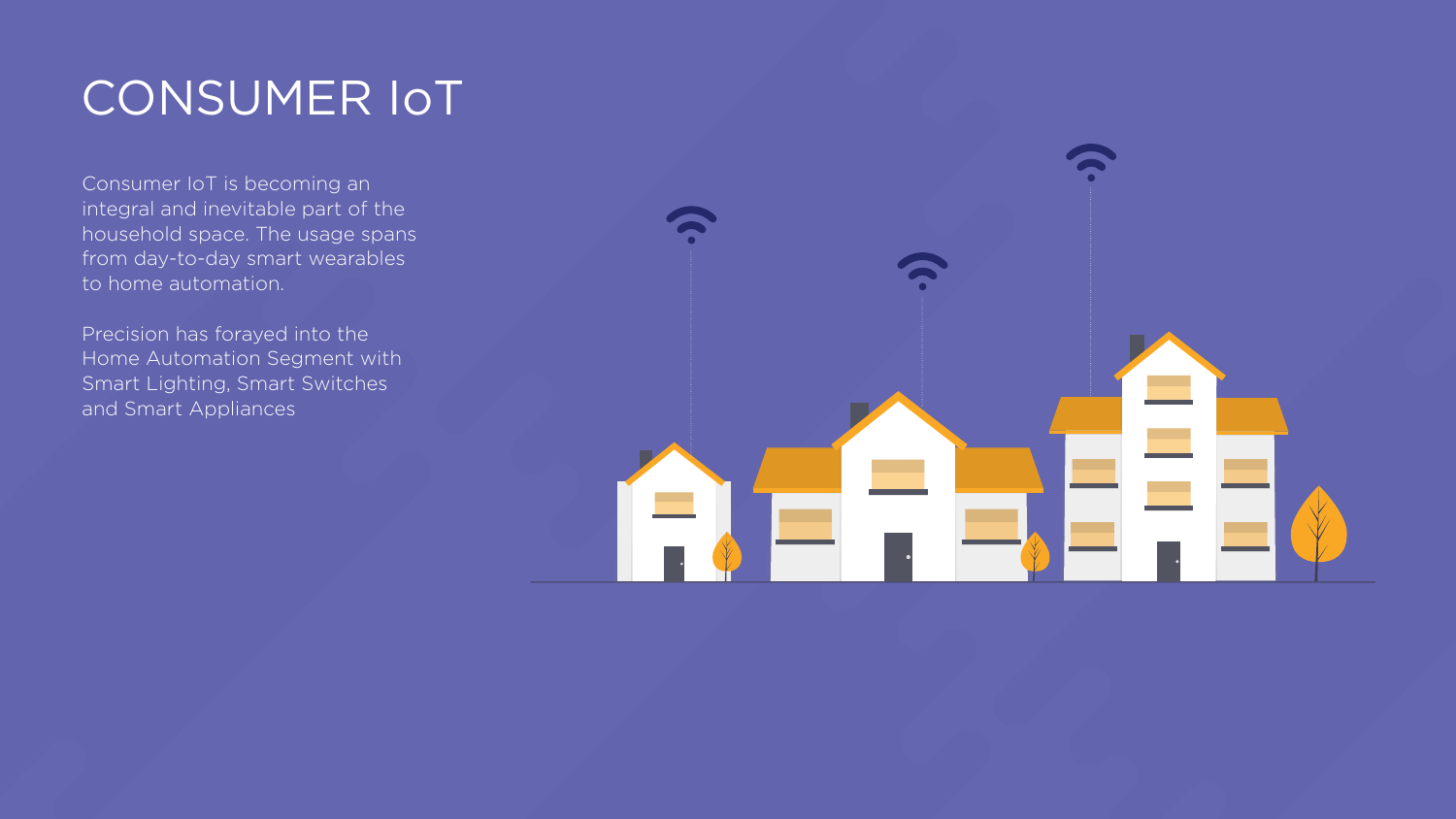## CONSUMER IoT

Consumer IoT is becoming an integral and inevitable part of the household space. The usage spans from day-to-day smart wearables to home automation.

Precision has forayed into the Home Automation Segment with Smart Lighting, Smart Switches and Smart Appliances